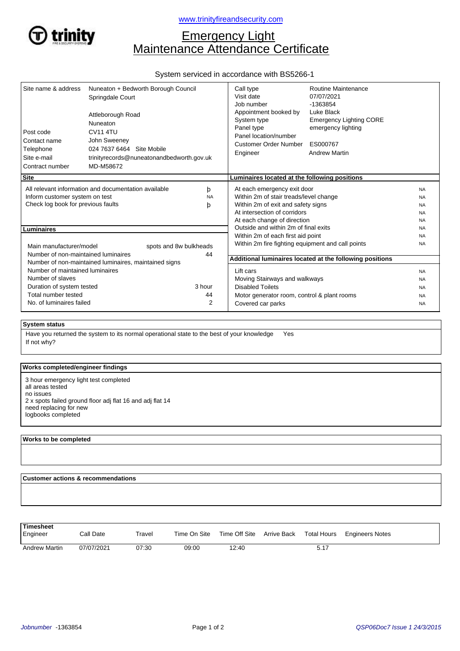

# Emergency Light Maintenance Attendance Certificate

# System serviced in accordance with BS5266-1

| Site name & address<br>Post code<br>Contact name<br>Telephone<br>Site e-mail<br>Contract number                              | Nuneaton + Bedworth Borough Council<br>Springdale Court<br>Attleborough Road<br>Nuneaton<br><b>CV11 4TU</b><br>John Sweeney<br>024 7637 6464 Site Mobile<br>trinityrecords@nuneatonandbedworth.gov.uk<br>MD-M58672 |                                      | Call type<br>Visit date<br>Job number<br>Appointment booked by<br>System type<br>Panel type<br>Panel location/number<br>Customer Order Number<br>Engineer                  | Routine Maintenance<br>07/07/2021<br>-1363854<br>Luke Black<br><b>Emergency Lighting CORE</b><br>emergency lighting<br>ES000767<br><b>Andrew Martin</b> |                                                               |  |
|------------------------------------------------------------------------------------------------------------------------------|--------------------------------------------------------------------------------------------------------------------------------------------------------------------------------------------------------------------|--------------------------------------|----------------------------------------------------------------------------------------------------------------------------------------------------------------------------|---------------------------------------------------------------------------------------------------------------------------------------------------------|---------------------------------------------------------------|--|
| <b>Site</b>                                                                                                                  |                                                                                                                                                                                                                    |                                      | Luminaires located at the following positions                                                                                                                              |                                                                                                                                                         |                                                               |  |
| All relevant information and documentation available<br>Inform customer system on test<br>Check log book for previous faults |                                                                                                                                                                                                                    | þ<br><b>NA</b><br>þ                  | At each emergency exit door<br>Within 2m of stair treads/level change<br>Within 2m of exit and safety signs<br>At intersection of corridors<br>At each change of direction |                                                                                                                                                         | <b>NA</b><br><b>NA</b><br><b>NA</b><br><b>NA</b><br><b>NA</b> |  |
| <b>Luminaires</b>                                                                                                            |                                                                                                                                                                                                                    | Outside and within 2m of final exits | <b>NA</b>                                                                                                                                                                  |                                                                                                                                                         |                                                               |  |
| Main manufacturer/model<br>Number of non-maintained luminaires                                                               | spots and 8w bulkheads                                                                                                                                                                                             | 44                                   | Within 2m of each first aid point<br><b>NA</b><br>Within 2m fire fighting equipment and call points<br><b>NA</b>                                                           |                                                                                                                                                         |                                                               |  |
| Number of non-maintained luminaires, maintained signs                                                                        |                                                                                                                                                                                                                    |                                      | Additional luminaires located at the following positions                                                                                                                   |                                                                                                                                                         |                                                               |  |
| Number of maintained luminaires                                                                                              |                                                                                                                                                                                                                    |                                      | Lift cars                                                                                                                                                                  | <b>NA</b>                                                                                                                                               |                                                               |  |
| Number of slaves                                                                                                             |                                                                                                                                                                                                                    |                                      | Moving Stairways and walkways                                                                                                                                              |                                                                                                                                                         | <b>NA</b>                                                     |  |
| Duration of system tested                                                                                                    |                                                                                                                                                                                                                    | 3 hour                               | <b>Disabled Toilets</b>                                                                                                                                                    |                                                                                                                                                         | <b>NA</b>                                                     |  |
| Total number tested<br>No. of luminaires failed                                                                              |                                                                                                                                                                                                                    | 44<br>$\overline{2}$                 | Motor generator room, control & plant rooms<br>Covered car parks                                                                                                           |                                                                                                                                                         | <b>NA</b><br><b>NA</b>                                        |  |

## **System status**

If not why? Have you returned the system to its normal operational state to the best of your knowledge Yes

### **Works completed/engineer findings**

3 hour emergency light test completed all areas tested no issues 2 x spots failed ground floor adj flat 16 and adj flat 14 need replacing for new logbooks completed

#### **Works to be completed**

 $\overline{a}$ 

 **Customer actions & recommendations**

| Timesheet<br>Engineer | Call Date  | Travel | Time On Site |       |      | Time Off Site Arrive Back Total Hours Engineers Notes |
|-----------------------|------------|--------|--------------|-------|------|-------------------------------------------------------|
| <b>Andrew Martin</b>  | 07/07/2021 | 07:30  | 09:00        | 12:40 | 5.17 |                                                       |